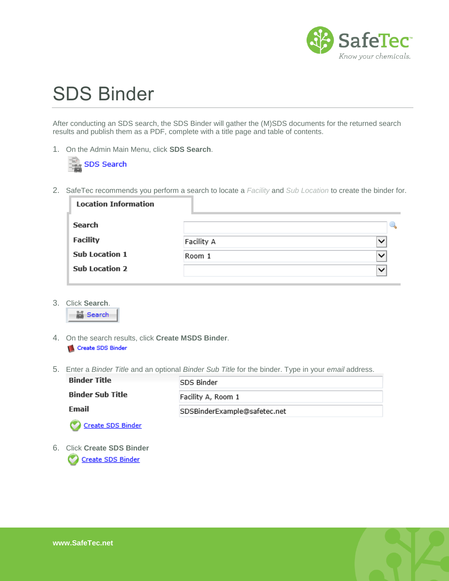

## SDS Binder

After conducting an SDS search, the SDS Binder will gather the (M)SDS documents for the returned search results and publish them as a PDF, complete with a title page and table of contents.

1. On the Admin Main Menu, click **SDS Search**.



2. SafeTec recommends you perform a search to locate a *Facility* and *Sub Location* to create the binder for.

| <b>Location Information</b> |            |              |
|-----------------------------|------------|--------------|
| <b>Search</b>               |            |              |
| <b>Facility</b>             | Facility A | $\checkmark$ |
| <b>Sub Location 1</b>       | Room 1     | $\checkmark$ |
| <b>Sub Location 2</b>       |            | $\checkmark$ |

3. Click **Search**.



- 4. On the search results, click **Create MSDS Binder**. Create SDS Binder
- 5. Enter a *Binder Title* and an optional *Binder Sub Title* for the binder. Type in your *email* address.

| <b>Binder Title</b>      | <b>SDS Binder</b>            |
|--------------------------|------------------------------|
| <b>Binder Sub Title</b>  | Facility A, Room 1           |
| Email                    | SDSBinderExample@safetec.net |
| <b>Create SDS Binder</b> |                              |
|                          |                              |

6. Click **Create SDS Binder**Create SDS Binder

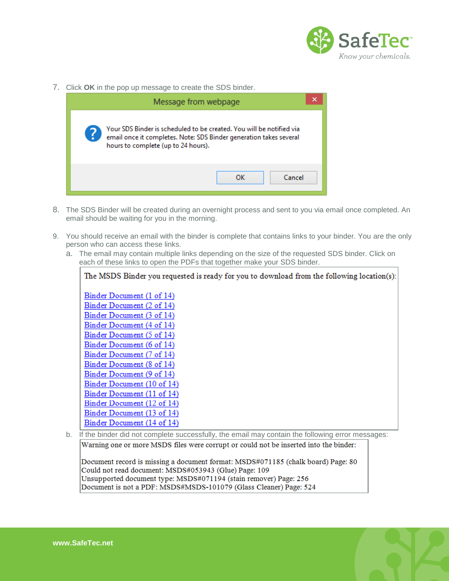

7. Click **OK** in the pop up message to create the SDS binder.



- 8. The SDS Binder will be created during an overnight process and sent to you via email once completed. An email should be waiting for you in the morning.
- 9. You should receive an email with the binder is complete that contains links to your binder. You are the only person who can access these links.
	- a. The email may contain multiple links depending on the size of the requested SDS binder. Click on each of these links to open the PDFs that together make your SDS binder.



Warning one or more MSDS files were corrupt or could not be inserted into the binder:

Document record is missing a document format: MSDS#071185 (chalk board) Page: 80 Could not read document: MSDS#053943 (Glue) Page: 109 Unsupported document type: MSDS#071194 (stain remover) Page: 256 Document is not a PDF: MSDS#MSDS-101079 (Glass Cleaner) Page: 524